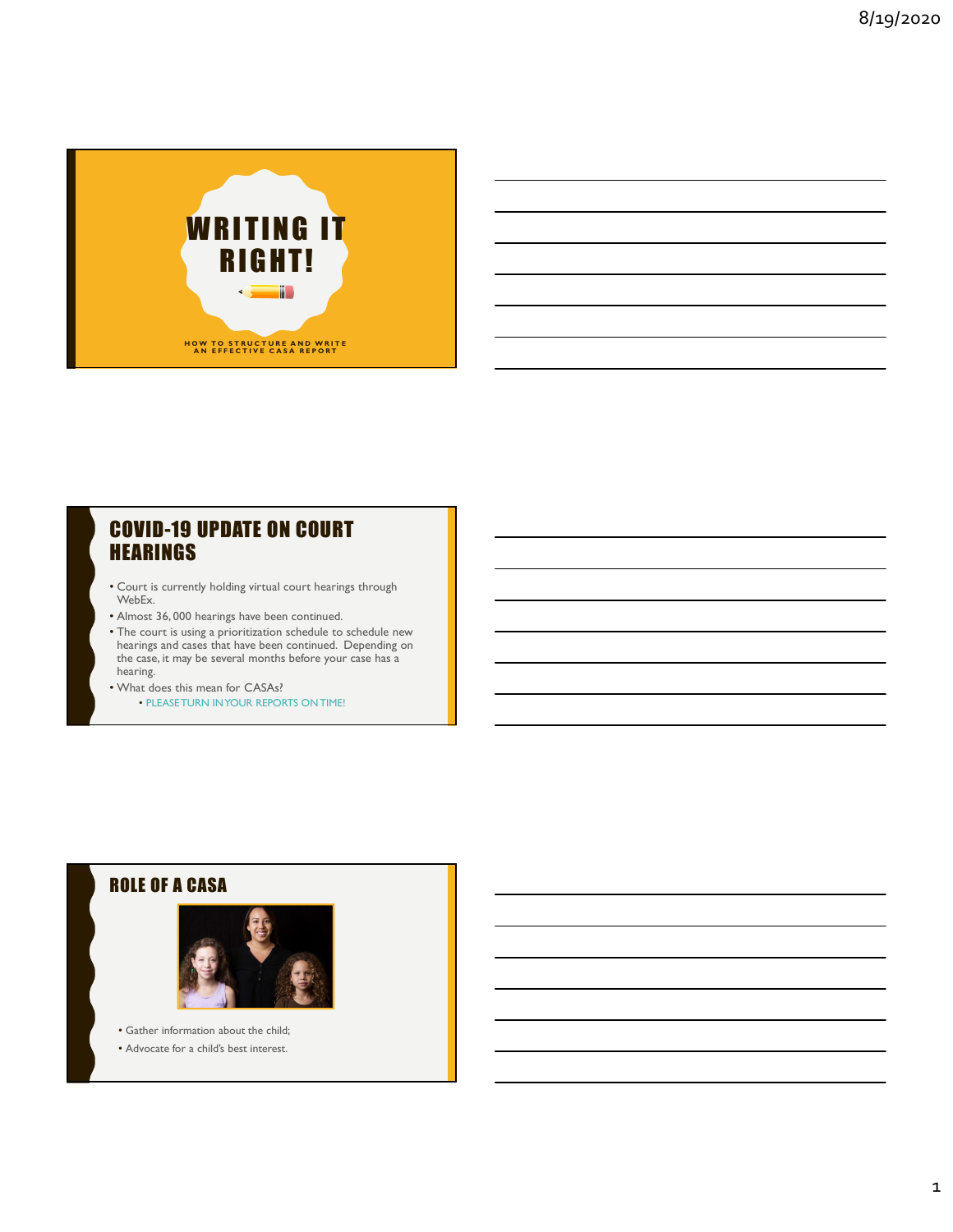

## COVID-19 UPDATE ON COURT **HEARINGS**

- Court is currently holding virtual court hearings through WebEx.
- Almost 36, 000 hearings have been continued.
- The court is using a prioritization schedule to schedule new hearings and cases that have been continued. Depending on **the supplication of the set of the s** the case, it may be several months before your case has a **the case of the contract of the case** hearing.
- What does this mean for CASAs? • PLEASE TURN IN YOUR REPORTS ON TIME!

### ROLE OF A CASA



• Gather information about the child;

• Advocate for a child's best interest.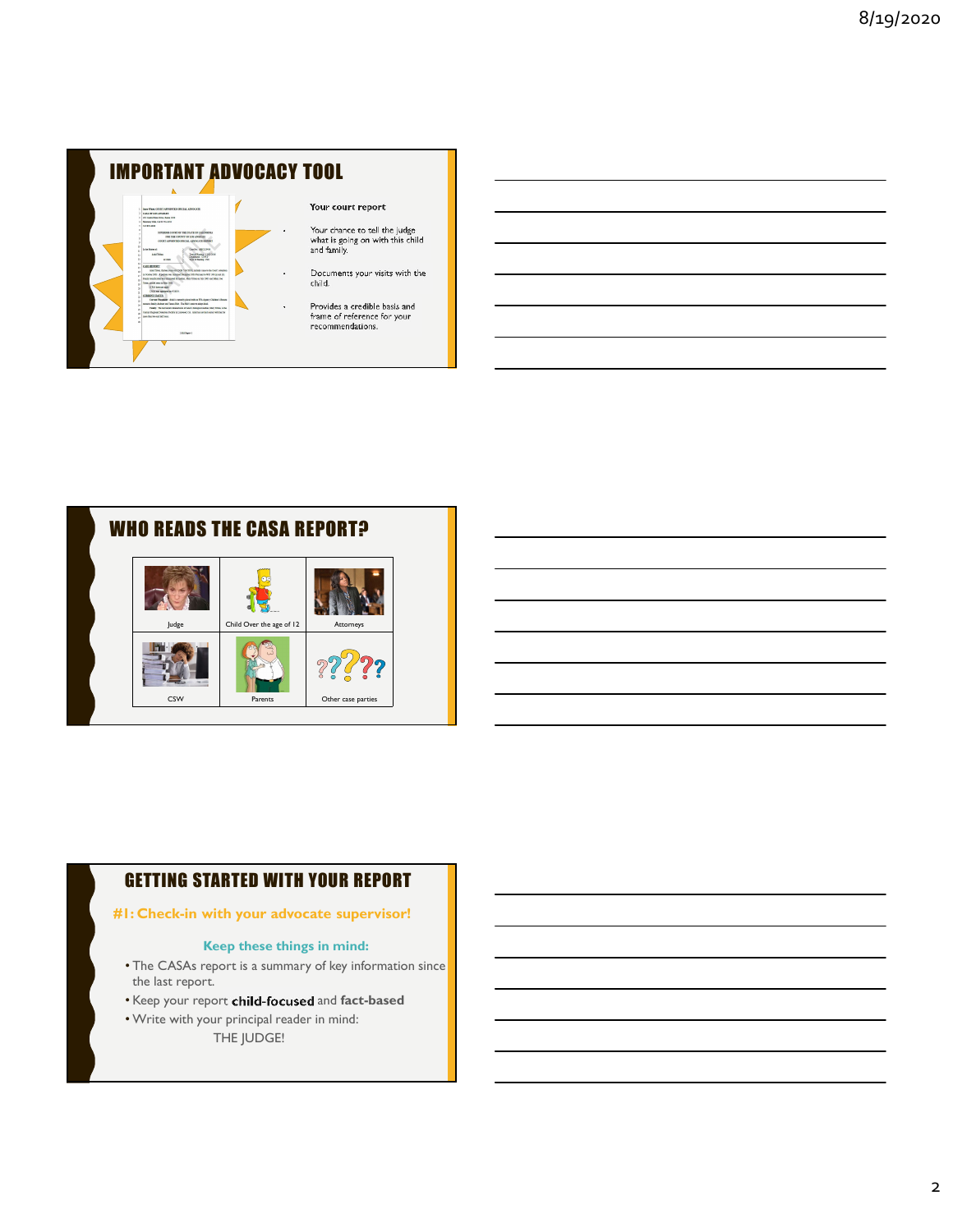

#### Your court report



#### GETTING STARTED WITH YOUR REPORT

#### #1: Check-in with your advocate supervisor!

#### Keep these things in mind:

- The CASAs report is a summary of key information since the last report.
- Keep your report child-focused and fact-based
- Write with your principal reader in mind:
	- THE JUDGE!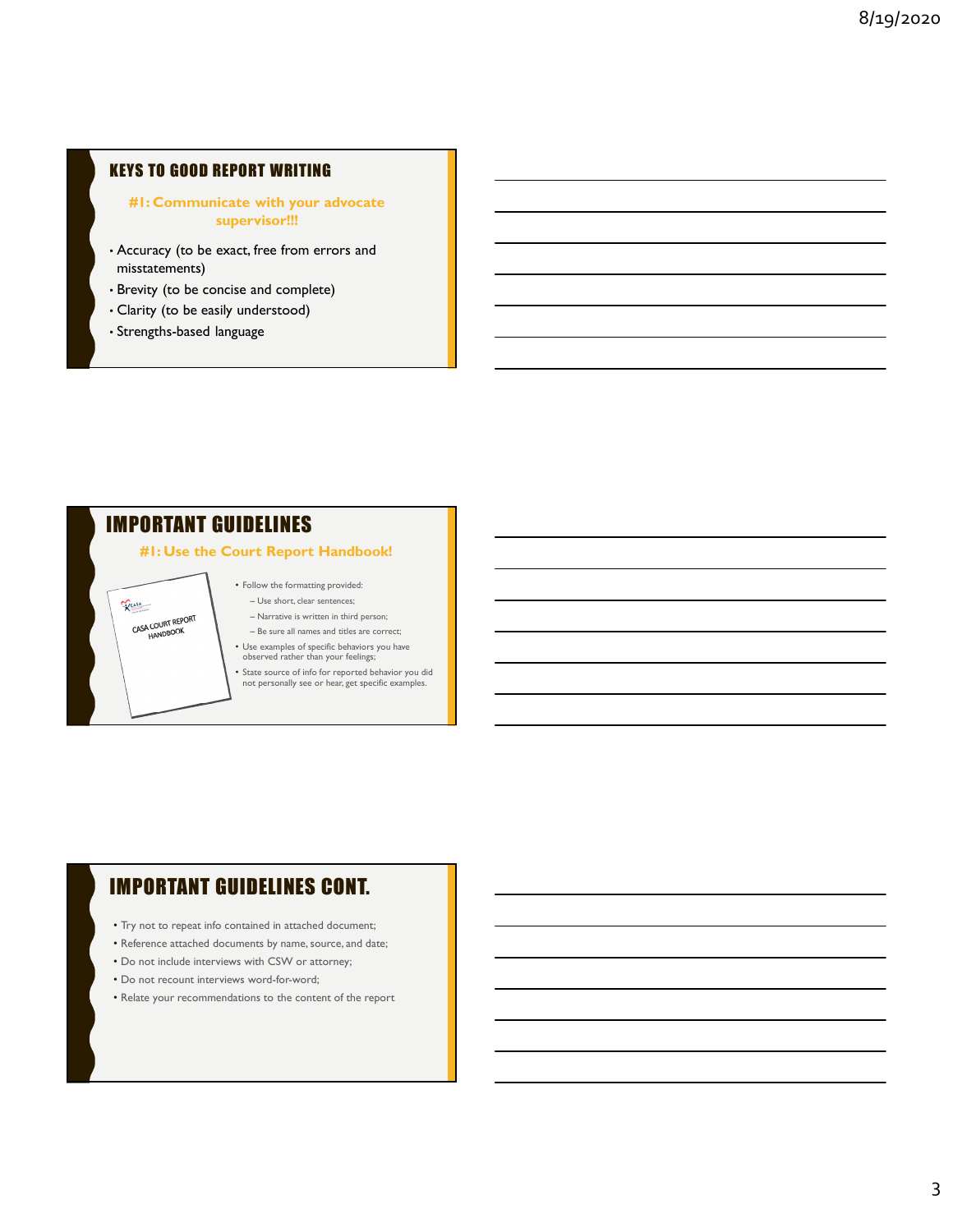#### KEYS TO GOOD REPORT WRITING

#### #1: Communicate with your advocate supervisor!!!

- Accuracy (to be exact, free from errors and misstatements)
- Brevity (to be concise and complete)
- Clarity (to be easily understood)
- Strengths-based language

## IMPORTANT GUIDELINES

VCASA

CASA COURT REPORT

#### #1: Use the Court Report Handbook!

• Follow the formatting provided: – Use short, clear sentences;

– Narrative is written in third person; – Be sure all names and titles are correct;

• Use examples of specific behaviors you have observed rather than your feelings;

• State source of info for reported behavior you did not personally see or hear, get specific examples.

## IMPORTANT GUIDELINES CONT.

- Try not to repeat info contained in attached document;
- Reference attached documents by name, source, and date;
- Do not include interviews with CSW or attorney;
- Do not recount interviews word-for-word;
- Relate your recommendations to the content of the report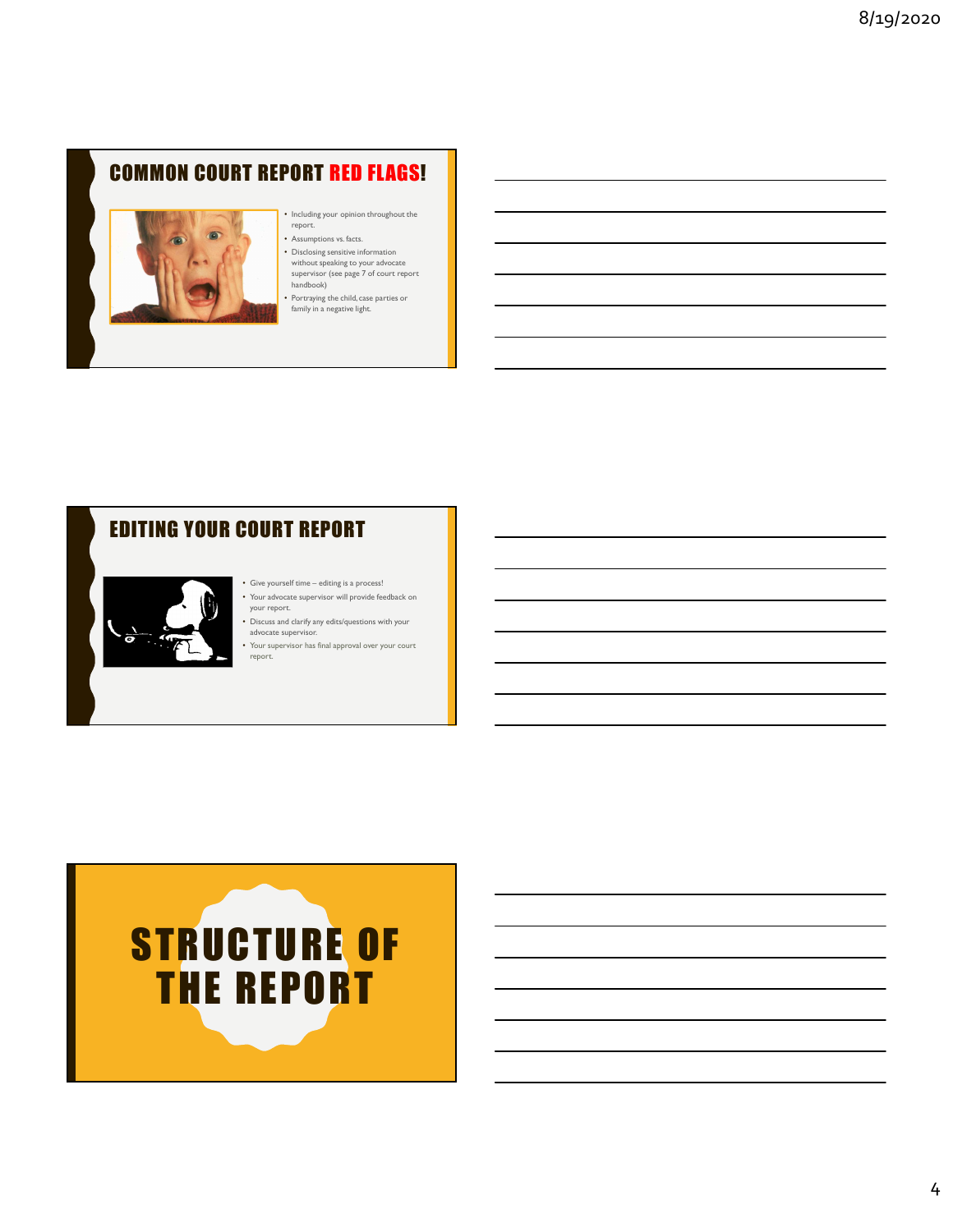# COMMON COURT REPORT RED FLAGS!



## • Including your opinion throughout the report.

- Assumptions vs. facts.
- Disclosing sensitive information<br>
without speaking to your advocate<br>
supervisor (see page 7 of court report<br>
handbook)
- 

• Portraying the child, case parties or family in a negative light.

## EDITING YOUR COURT REPORT



- because supervisory edits/questions with your<br>advocate supervisor.
- Your supervisor has final approval over your court report.

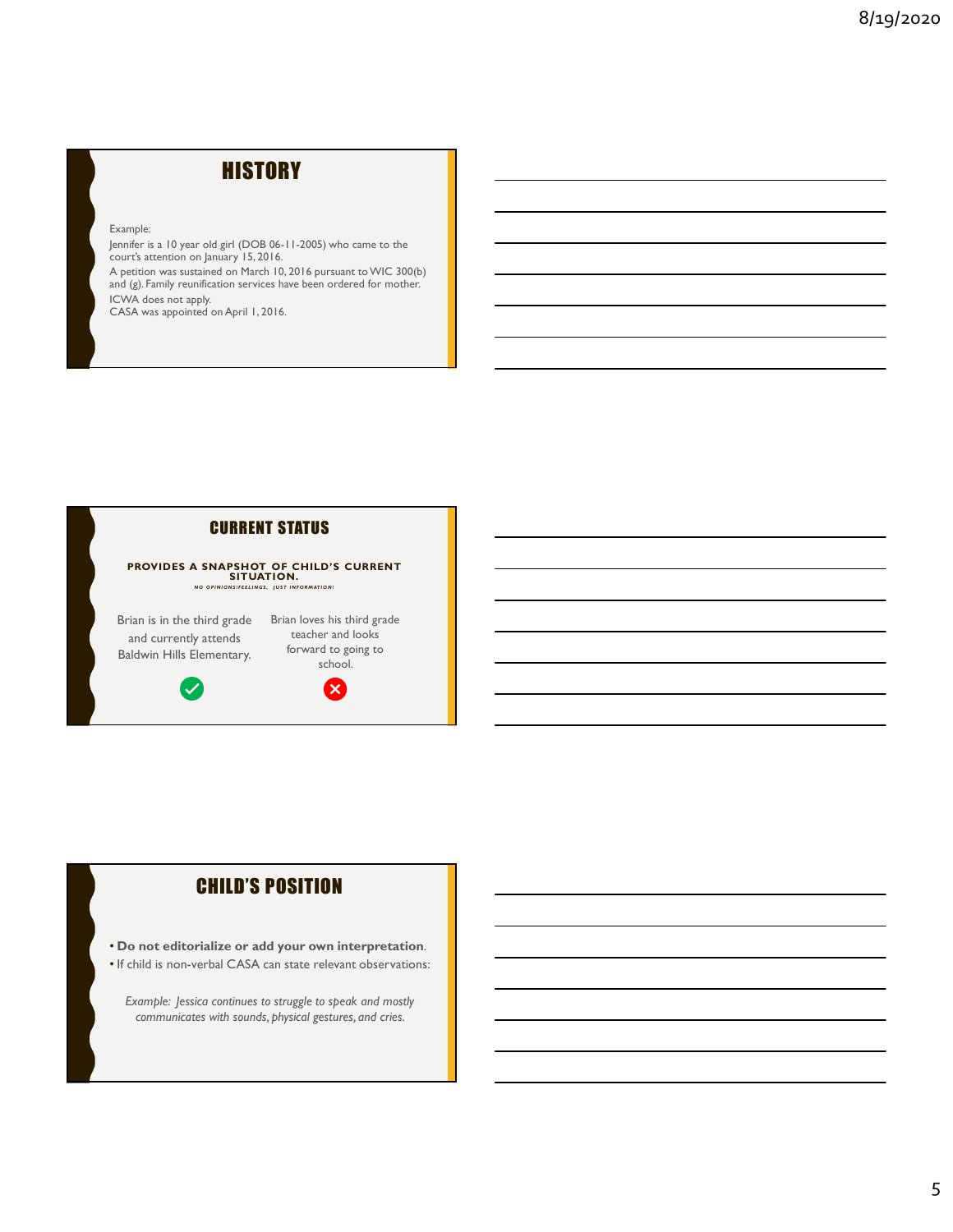# **HISTORY**

Example:

Jennifer is a 10 year old girl (DOB 06-11-2005) who came to the court's attention on January 15, 2016. A petition was sustained on March 10, 2016 pursuant to WIC 300(b) and (g). Family reunification services have been ordered for mother. ICWA does not apply. CASA was appointed on April 1, 2016.



### CHILD'S POSITION

- Do not editorialize or add your own interpretation.
- If child is non-verbal CASA can state relevant observations:

Example: Jessica continues to struggle to speak and mostly communicates with sounds, physical gestures, and cries.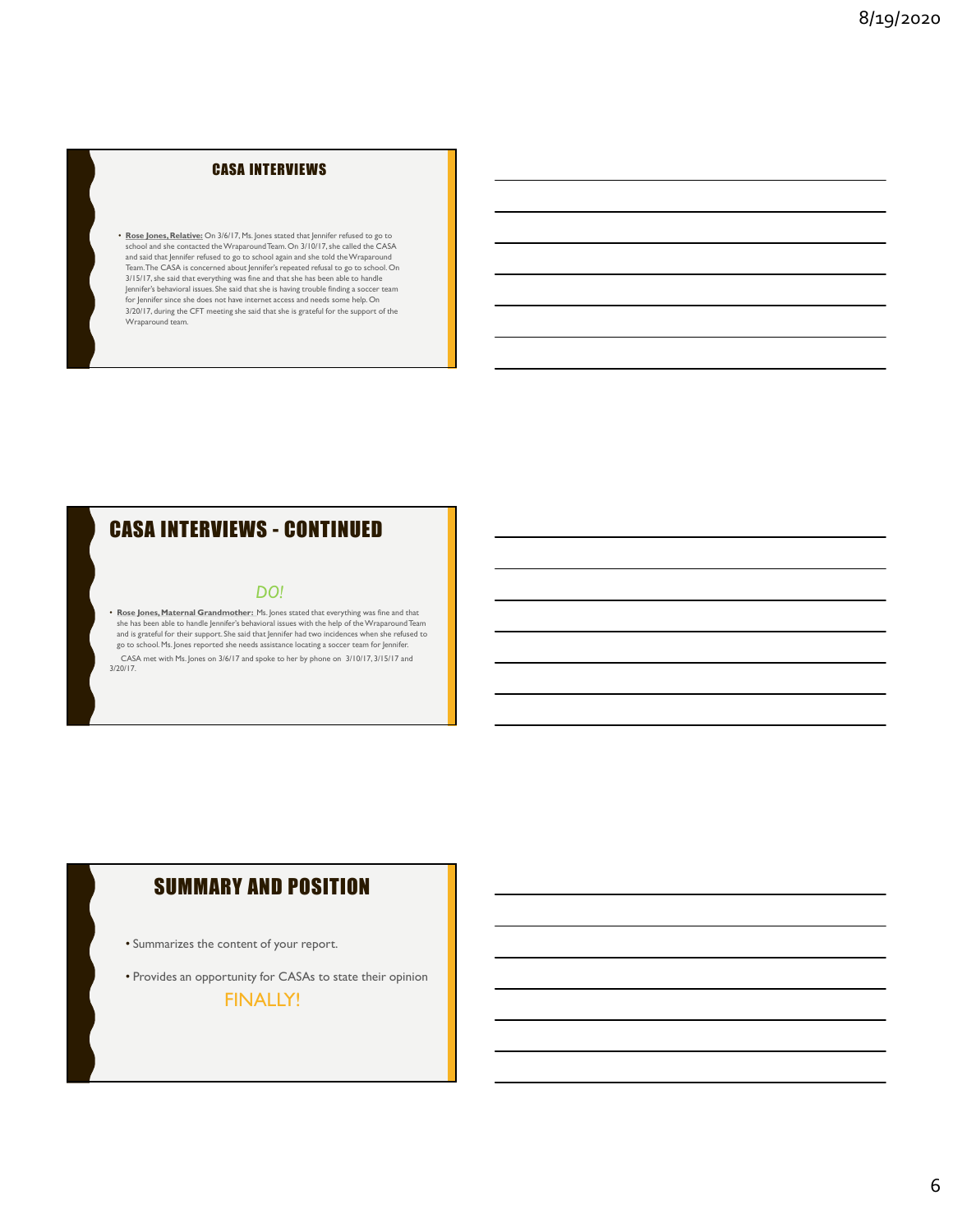#### CASA INTERVIEWS

• Rose Jones, Relative: On 3/6/17, Ms. Jones stated that Jennifer refused to go to stated the CASA stated the contacted the Wraparound Team. On 3/10/17, she called the CASA stated the contacted the Wraparound Team. On 3/10 and said that Jennifer refused to go to school again and she told the Wraparound<br>Team.The CASA is concerned about Jennifer's repeated refusal to go to school. On 3/15/17, she said that everything was fine and that she has been able to handle Jennifer's behavioral issues. She said that she is having trouble finding a soccer team **for the soccent solut o**<br>for Jennifer since she does not have internet access and needs some help. On 3/20/17, during the CFT meeting she said that she is grateful for the support of the Wraparound team. **CASA INTERVIEWS**<br>  $\cdot$  floats hence, Relatives  $\circ \sim 10^{17}$ . Fluores cases that hence the visual of a top  $\circ \sim$ <br>
where an all the content distance of the continued into the CASA intervention of a UPC  $\circ \sim$  Continued i

#### DO!

• Rose Jones, Maternal Grandmother: Ms. Jones stated that everything was fine and that she has been able to handle Jennifer's behavioral issues with the help of the Wraparound Team<br>and is grateful for their support. She said that Jennifer had two incidences when she refused to<br>go to school. Ms. Jones reporte CASA met with Ms. Jones on 3/6/17 and spoke to her by phone on 3/10/17, 3/15/17 and 3/20/17.

## SUMMARY AND POSITION

- Summarizes the content of your report.
- Provides an opportunity for CASAs to state their opinion

FINALLY!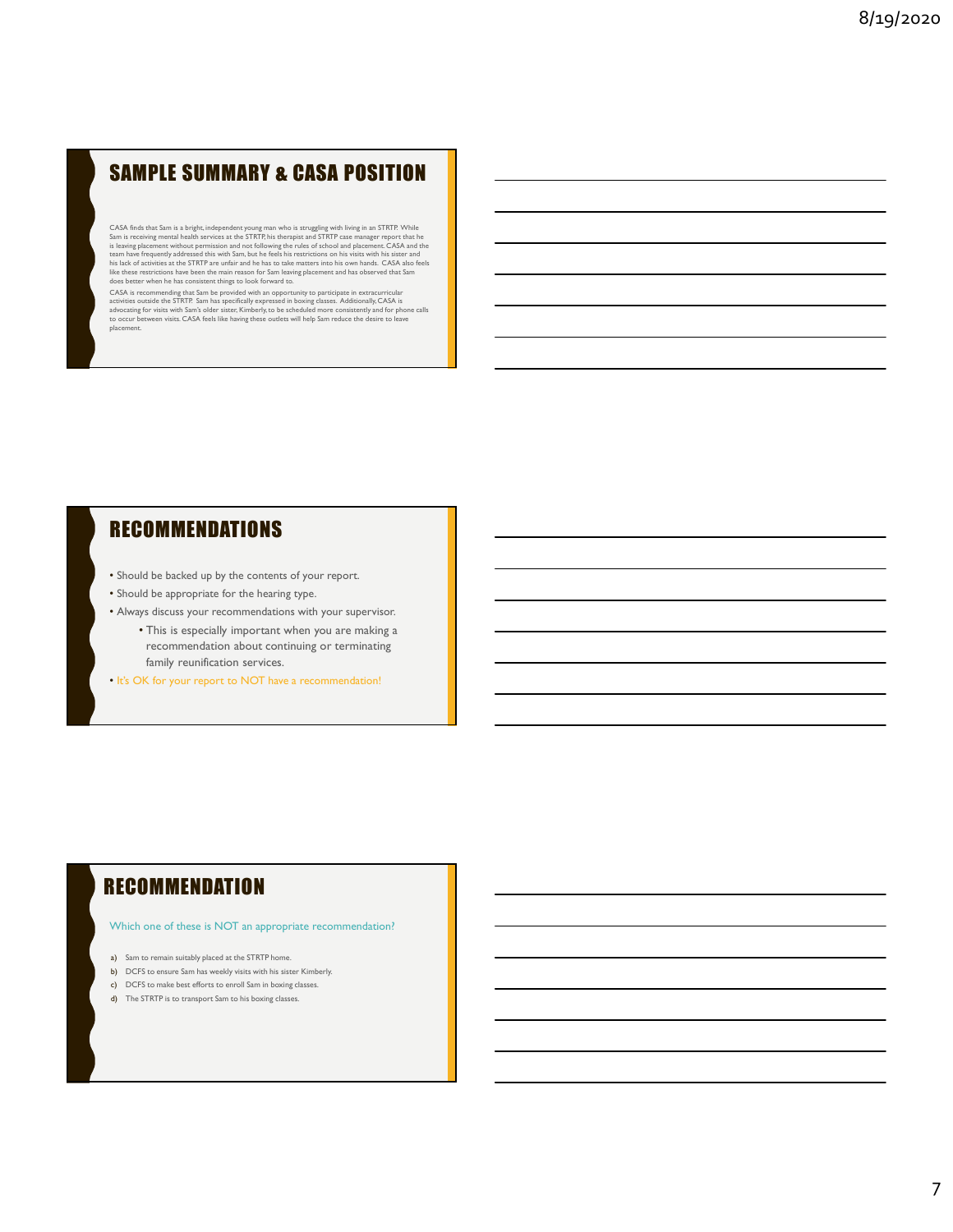# SAMPLE SUMMARY & CASA POSITION

CASA finds that Sam is a bright, independent young man who is struggling with living in an STRTP. While Sam is receiving mental health services at the Sam is receiving mental health services at the Stam is the Stam is the is leaving placement without permission and not following the rules of school and placement. CASA and the<br>team have frequently addressed this with Sam, but he feels his restrictions on his visits with his sister and<br>his la **SAMPLE SUMMARY & CASA POSITION**<br>
CAS desired y an explicit propriate the results of the control of the control of the control of the control of the control of the control of the control of the control of the control of t

## **RECOMMENDATIONS**

- Should be backed up by the contents of your report.
- Should be appropriate for the hearing type.
- Always discuss your recommendations with your supervisor.
	- This is especially important when you are making a recommendation about continuing or terminating family reunification services.
- It's OK for your report to NOT have a recommendation!

## **RECOMMENDATION**

#### Which one of these is NOT an appropriate recommendation?

- a) Sam to remain suitably placed at the STRTP home.
- b) DCFS to ensure Sam has weekly visits with his sister Kimberly.
- c) DCFS to make best efforts to enroll Sam in boxing classes.
- d) The STRTP is to transport Sam to his boxing classes.